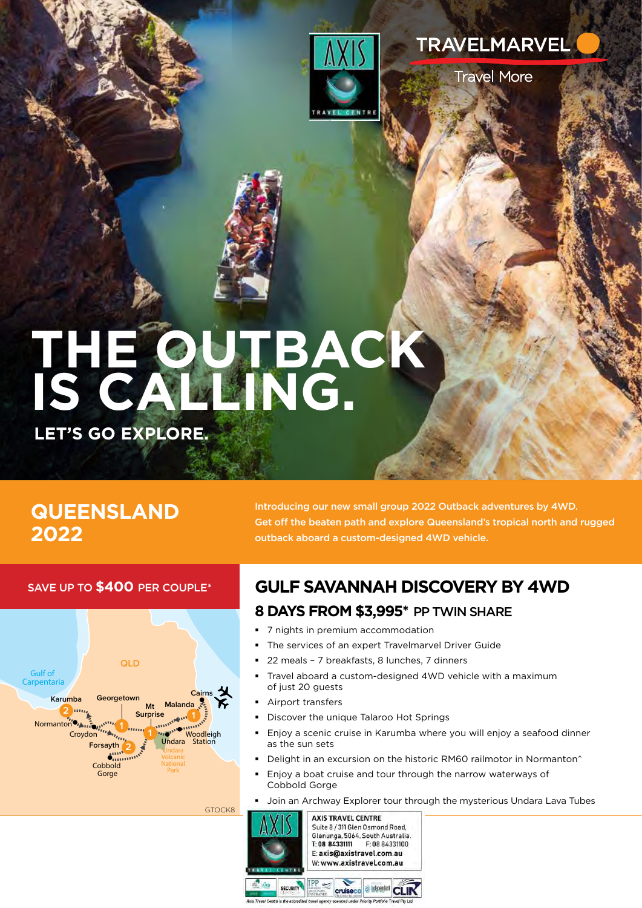



**Travel More** 

# **THE OUTBACK IS CALLING.**

**GTOCK8** 

**LET'S GO EXPLORE.**

## **QUEENSLAND 2022**

Introducing our new small group 2022 Outback adventures by 4WD. Get off the beaten path and explore Queensland's tropical north and rugged outback aboard a custom-designed 4WD vehicle.

#### SAVE UP TO **\$400** PER COUPLE\*



## **GULF SAVANNAH DISCOVERY BY 4WD**

#### **8 DAYS FROM \$3,995\*** PP TWIN SHARE

- 7 nights in premium accommodation
- The services of an expert Travelmarvel Driver Guide
- 22 meals 7 breakfasts, 8 lunches, 7 dinners
- Travel aboard a custom-designed 4WD vehicle with a maximum of just 20 guests
- Airport transfers
- Discover the unique Talaroo Hot Springs
- Enjoy a scenic cruise in Karumba where you will enjoy a seafood dinner as the sun sets
- Delight in an excursion on the historic RM60 railmotor in Normanton<sup>^</sup>
- Enjoy a boat cruise and tour through the narrow waterways of Cobbold Gorge
- Join an Archway Explorer tour through the mysterious Undara Lava Tubes